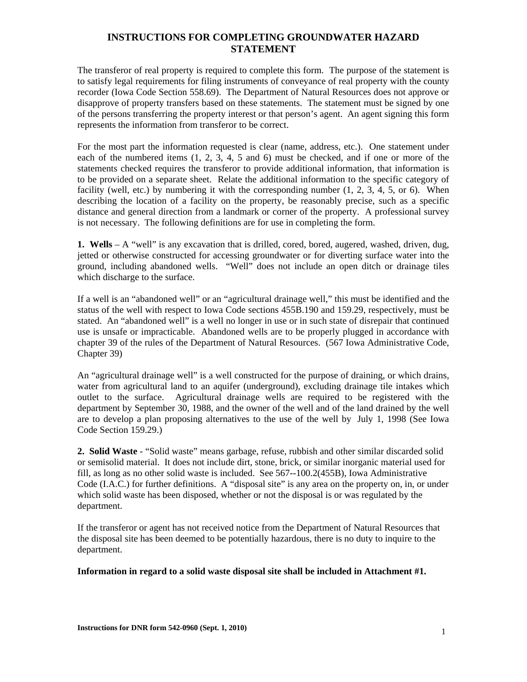The transferor of real property is required to complete this form. The purpose of the statement is to satisfy legal requirements for filing instruments of conveyance of real property with the county recorder (Iowa Code Section 558.69). The Department of Natural Resources does not approve or disapprove of property transfers based on these statements. The statement must be signed by one of the persons transferring the property interest or that person's agent. An agent signing this form represents the information from transferor to be correct.

For the most part the information requested is clear (name, address, etc.). One statement under each of the numbered items (1, 2, 3, 4, 5 and 6) must be checked, and if one or more of the statements checked requires the transferor to provide additional information, that information is to be provided on a separate sheet. Relate the additional information to the specific category of facility (well, etc.) by numbering it with the corresponding number  $(1, 2, 3, 4, 5, 0, 6)$ . When describing the location of a facility on the property, be reasonably precise, such as a specific distance and general direction from a landmark or corner of the property. A professional survey is not necessary. The following definitions are for use in completing the form.

**1. Wells** – A "well" is any excavation that is drilled, cored, bored, augered, washed, driven, dug, jetted or otherwise constructed for accessing groundwater or for diverting surface water into the ground, including abandoned wells. "Well" does not include an open ditch or drainage tiles which discharge to the surface.

If a well is an "abandoned well" or an "agricultural drainage well," this must be identified and the status of the well with respect to Iowa Code sections 455B.190 and 159.29, respectively, must be stated. An "abandoned well" is a well no longer in use or in such state of disrepair that continued use is unsafe or impracticable. Abandoned wells are to be properly plugged in accordance with chapter 39 of the rules of the Department of Natural Resources. (567 Iowa Administrative Code, Chapter 39)

An "agricultural drainage well" is a well constructed for the purpose of draining, or which drains, water from agricultural land to an aquifer (underground), excluding drainage tile intakes which outlet to the surface. Agricultural drainage wells are required to be registered with the department by September 30, 1988, and the owner of the well and of the land drained by the well are to develop a plan proposing alternatives to the use of the well by July 1, 1998 (See Iowa Code Section 159.29.)

**2. Solid Waste** - "Solid waste" means garbage, refuse, rubbish and other similar discarded solid or semisolid material. It does not include dirt, stone, brick, or similar inorganic material used for fill, as long as no other solid waste is included. See 567--100.2(455B), Iowa Administrative Code (I.A.C.) for further definitions. A "disposal site" is any area on the property on, in, or under which solid waste has been disposed, whether or not the disposal is or was regulated by the department.

If the transferor or agent has not received notice from the Department of Natural Resources that the disposal site has been deemed to be potentially hazardous, there is no duty to inquire to the department.

### **Information in regard to a solid waste disposal site shall be included in Attachment #1.**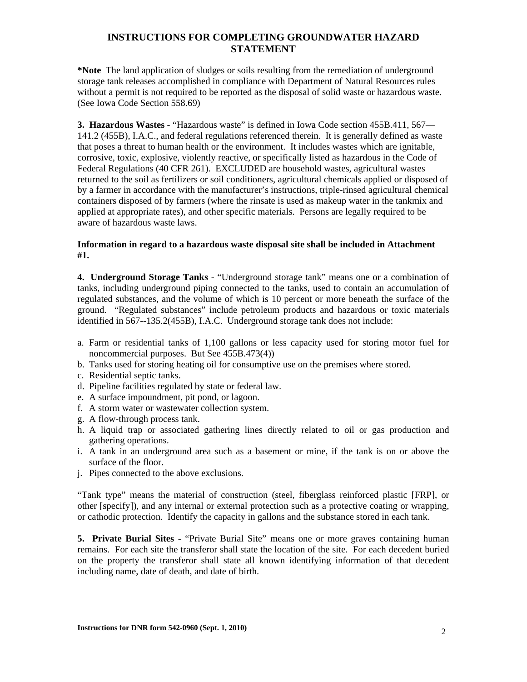**\*Note** The land application of sludges or soils resulting from the remediation of underground storage tank releases accomplished in compliance with Department of Natural Resources rules without a permit is not required to be reported as the disposal of solid waste or hazardous waste. (See Iowa Code Section 558.69)

**3. Hazardous Wastes** - "Hazardous waste" is defined in Iowa Code section 455B.411, 567— 141.2 (455B), I.A.C., and federal regulations referenced therein. It is generally defined as waste that poses a threat to human health or the environment. It includes wastes which are ignitable, corrosive, toxic, explosive, violently reactive, or specifically listed as hazardous in the Code of Federal Regulations (40 CFR 261). EXCLUDED are household wastes, agricultural wastes returned to the soil as fertilizers or soil conditioners, agricultural chemicals applied or disposed of by a farmer in accordance with the manufacturer's instructions, triple-rinsed agricultural chemical containers disposed of by farmers (where the rinsate is used as makeup water in the tankmix and applied at appropriate rates), and other specific materials. Persons are legally required to be aware of hazardous waste laws.

#### **Information in regard to a hazardous waste disposal site shall be included in Attachment #1.**

**4. Underground Storage Tanks** - "Underground storage tank" means one or a combination of tanks, including underground piping connected to the tanks, used to contain an accumulation of regulated substances, and the volume of which is 10 percent or more beneath the surface of the ground. "Regulated substances" include petroleum products and hazardous or toxic materials identified in 567--135.2(455B), I.A.C. Underground storage tank does not include:

- a. Farm or residential tanks of 1,100 gallons or less capacity used for storing motor fuel for noncommercial purposes. But See 455B.473(4))
- b. Tanks used for storing heating oil for consumptive use on the premises where stored.
- c. Residential septic tanks.
- d. Pipeline facilities regulated by state or federal law.
- e. A surface impoundment, pit pond, or lagoon.
- f. A storm water or wastewater collection system.
- g. A flow-through process tank.
- h. A liquid trap or associated gathering lines directly related to oil or gas production and gathering operations.
- i. A tank in an underground area such as a basement or mine, if the tank is on or above the surface of the floor.
- j. Pipes connected to the above exclusions.

"Tank type" means the material of construction (steel, fiberglass reinforced plastic [FRP], or other [specify]), and any internal or external protection such as a protective coating or wrapping, or cathodic protection. Identify the capacity in gallons and the substance stored in each tank.

**5. Private Burial Sites** - "Private Burial Site" means one or more graves containing human remains. For each site the transferor shall state the location of the site. For each decedent buried on the property the transferor shall state all known identifying information of that decedent including name, date of death, and date of birth.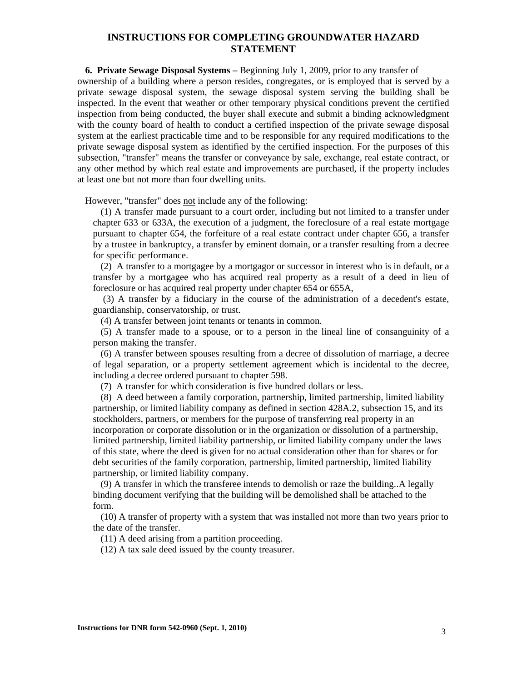**6. Private Sewage Disposal Systems –** Beginning July 1, 2009, prior to any transfer of

ownership of a building where a person resides, congregates, or is employed that is served by a private sewage disposal system, the sewage disposal system serving the building shall be inspected. In the event that weather or other temporary physical conditions prevent the certified inspection from being conducted, the buyer shall execute and submit a binding acknowledgment with the county board of health to conduct a certified inspection of the private sewage disposal system at the earliest practicable time and to be responsible for any required modifications to the private sewage disposal system as identified by the certified inspection. For the purposes of this subsection, "transfer" means the transfer or conveyance by sale, exchange, real estate contract, or any other method by which real estate and improvements are purchased, if the property includes at least one but not more than four dwelling units.

However, "transfer" does not include any of the following:

(1) A transfer made pursuant to a court order, including but not limited to a transfer under chapter 633 or 633A, the execution of a judgment, the foreclosure of a real estate mortgage pursuant to chapter 654, the forfeiture of a real estate contract under chapter 656, a transfer by a trustee in bankruptcy, a transfer by eminent domain, or a transfer resulting from a decree for specific performance.

(2) A transfer to a mortgagee by a mortgagor or successor in interest who is in default,  $\Theta$  a transfer by a mortgagee who has acquired real property as a result of a deed in lieu of foreclosure or has acquired real property under chapter 654 or 655A,

 (3) A transfer by a fiduciary in the course of the administration of a decedent's estate, guardianship, conservatorship, or trust.

(4) A transfer between joint tenants or tenants in common.

(5) A transfer made to a spouse, or to a person in the lineal line of consanguinity of a person making the transfer.

(6) A transfer between spouses resulting from a decree of dissolution of marriage, a decree of legal separation, or a property settlement agreement which is incidental to the decree, including a decree ordered pursuant to chapter 598.

(7) A transfer for which consideration is five hundred dollars or less.

(8) A deed between a family corporation, partnership, limited partnership, limited liability partnership, or limited liability company as defined in section 428A.2, subsection 15, and its stockholders, partners, or members for the purpose of transferring real property in an incorporation or corporate dissolution or in the organization or dissolution of a partnership, limited partnership, limited liability partnership, or limited liability company under the laws of this state, where the deed is given for no actual consideration other than for shares or for debt securities of the family corporation, partnership, limited partnership, limited liability partnership, or limited liability company.

(9) A transfer in which the transferee intends to demolish or raze the building..A legally binding document verifying that the building will be demolished shall be attached to the form.

(10) A transfer of property with a system that was installed not more than two years prior to the date of the transfer.

(11) A deed arising from a partition proceeding.

(12) A tax sale deed issued by the county treasurer.